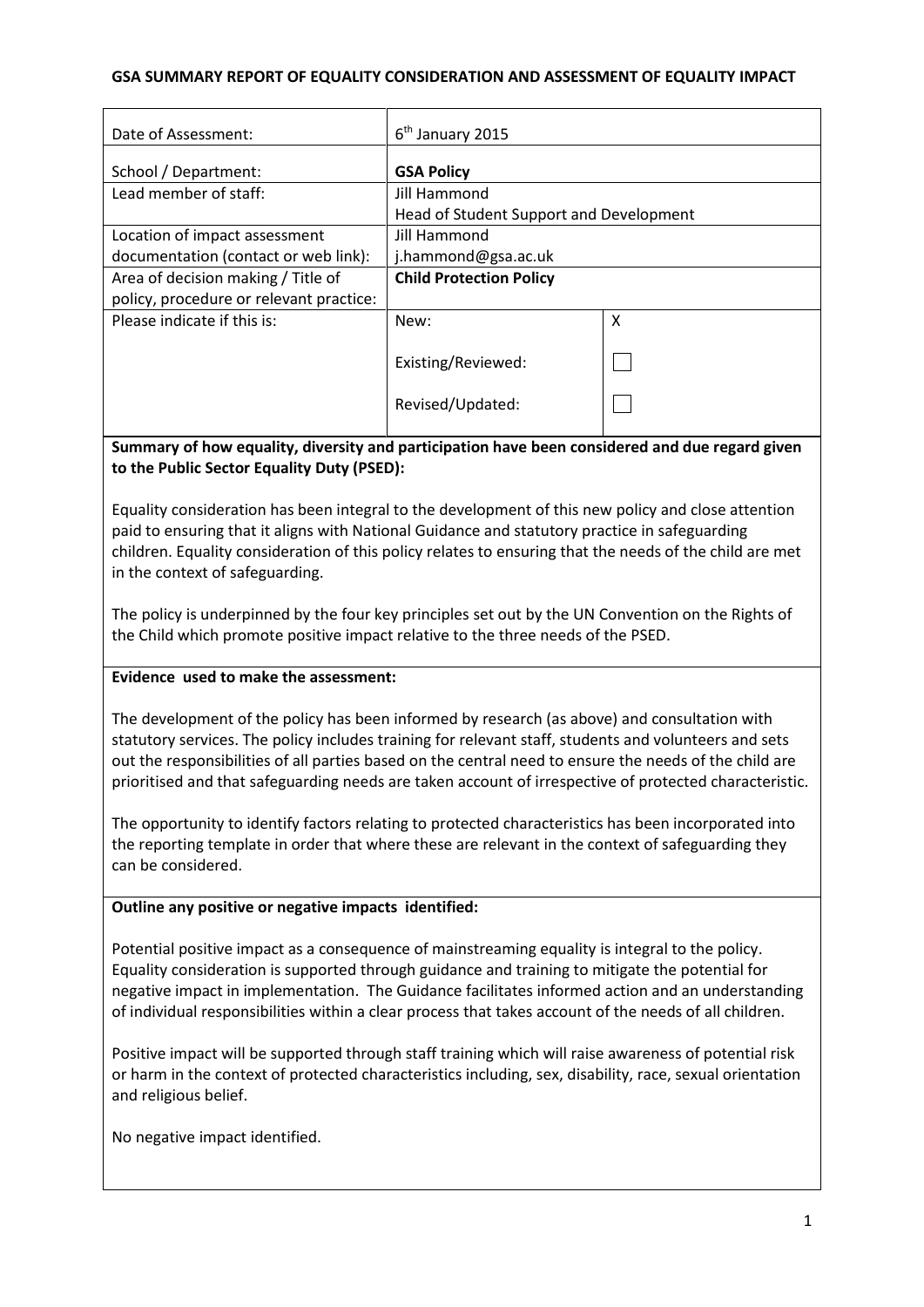# **GSA SUMMARY REPORT OF EQUALITY CONSIDERATION AND ASSESSMENT OF EQUALITY IMPACT**

| Date of Assessment:                     | $6th$ January 2015                      |   |
|-----------------------------------------|-----------------------------------------|---|
|                                         |                                         |   |
| School / Department:                    | <b>GSA Policy</b>                       |   |
| Lead member of staff:                   | Jill Hammond                            |   |
|                                         | Head of Student Support and Development |   |
| Location of impact assessment           | Jill Hammond                            |   |
| documentation (contact or web link):    | j.hammond@gsa.ac.uk                     |   |
| Area of decision making / Title of      | <b>Child Protection Policy</b>          |   |
| policy, procedure or relevant practice: |                                         |   |
| Please indicate if this is:             | New:                                    | X |
|                                         |                                         |   |
|                                         | Existing/Reviewed:                      |   |
|                                         |                                         |   |
|                                         | Revised/Updated:                        |   |
|                                         |                                         |   |

**Summary of how equality, diversity and participation have been considered and due regard given to the Public Sector Equality Duty (PSED):**

Equality consideration has been integral to the development of this new policy and close attention paid to ensuring that it aligns with National Guidance and statutory practice in safeguarding children. Equality consideration of this policy relates to ensuring that the needs of the child are met in the context of safeguarding.

The policy is underpinned by the four key principles set out by the UN Convention on the Rights of the Child which promote positive impact relative to the three needs of the PSED.

#### **Evidence used to make the assessment:**

The development of the policy has been informed by research (as above) and consultation with statutory services. The policy includes training for relevant staff, students and volunteers and sets out the responsibilities of all parties based on the central need to ensure the needs of the child are prioritised and that safeguarding needs are taken account of irrespective of protected characteristic.

The opportunity to identify factors relating to protected characteristics has been incorporated into the reporting template in order that where these are relevant in the context of safeguarding they can be considered.

#### **Outline any positive or negative impacts identified:**

Potential positive impact as a consequence of mainstreaming equality is integral to the policy. Equality consideration is supported through guidance and training to mitigate the potential for negative impact in implementation. The Guidance facilitates informed action and an understanding of individual responsibilities within a clear process that takes account of the needs of all children.

Positive impact will be supported through staff training which will raise awareness of potential risk or harm in the context of protected characteristics including, sex, disability, race, sexual orientation and religious belief.

No negative impact identified.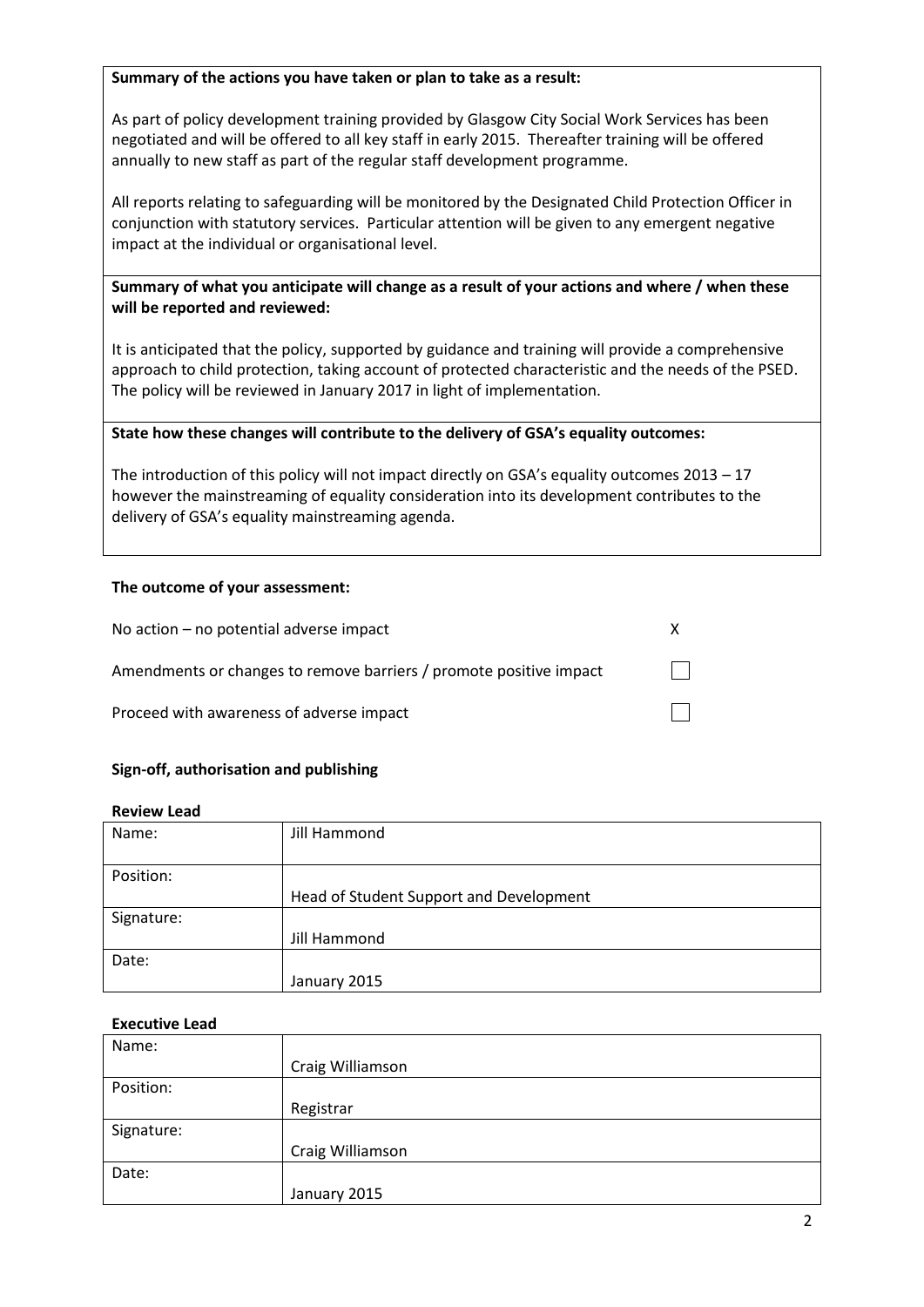#### **Summary of the actions you have taken or plan to take as a result:**

As part of policy development training provided by Glasgow City Social Work Services has been negotiated and will be offered to all key staff in early 2015. Thereafter training will be offered annually to new staff as part of the regular staff development programme.

All reports relating to safeguarding will be monitored by the Designated Child Protection Officer in conjunction with statutory services. Particular attention will be given to any emergent negative impact at the individual or organisational level.

# **Summary of what you anticipate will change as a result of your actions and where / when these will be reported and reviewed:**

It is anticipated that the policy, supported by guidance and training will provide a comprehensive approach to child protection, taking account of protected characteristic and the needs of the PSED. The policy will be reviewed in January 2017 in light of implementation.

# **State how these changes will contribute to the delivery of GSA's equality outcomes:**

The introduction of this policy will not impact directly on GSA's equality outcomes 2013 – 17 however the mainstreaming of equality consideration into its development contributes to the delivery of GSA's equality mainstreaming agenda.

# **The outcome of your assessment:**

| No action $-$ no potential adverse impact                          |  |
|--------------------------------------------------------------------|--|
| Amendments or changes to remove barriers / promote positive impact |  |
| Proceed with awareness of adverse impact                           |  |

# **Sign-off, authorisation and publishing**

#### **Review Lead**

| Name:      | Jill Hammond                            |
|------------|-----------------------------------------|
| Position:  |                                         |
|            | Head of Student Support and Development |
| Signature: |                                         |
|            | Jill Hammond                            |
| Date:      |                                         |
|            | January 2015                            |

#### **Executive Lead**

| Name:      |                  |
|------------|------------------|
|            | Craig Williamson |
| Position:  |                  |
|            | Registrar        |
| Signature: |                  |
|            | Craig Williamson |
| Date:      |                  |
|            | January 2015     |